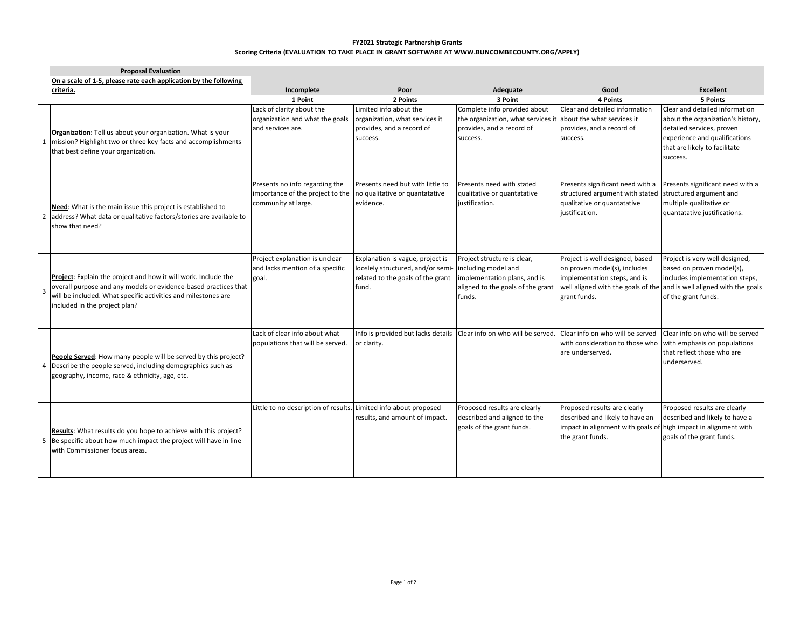## **FY2021 Strategic Partnership Grants Scoring Criteria (EVALUATION TO TAKE PLACE IN GRANT SOFTWARE AT WWW.BUNCOMBECOUNTY.ORG/APPLY)**

| <b>Proposal Evaluation</b>                                                                                                                                                                                                          |                                                                                           |                                                                                                                     |                                                                                                                                   |                                                                                                                                                        |                                                                                                                                                                                               |
|-------------------------------------------------------------------------------------------------------------------------------------------------------------------------------------------------------------------------------------|-------------------------------------------------------------------------------------------|---------------------------------------------------------------------------------------------------------------------|-----------------------------------------------------------------------------------------------------------------------------------|--------------------------------------------------------------------------------------------------------------------------------------------------------|-----------------------------------------------------------------------------------------------------------------------------------------------------------------------------------------------|
| On a scale of 1-5, please rate each application by the following                                                                                                                                                                    |                                                                                           |                                                                                                                     |                                                                                                                                   |                                                                                                                                                        |                                                                                                                                                                                               |
| criteria.                                                                                                                                                                                                                           | Incomplete                                                                                | Poor                                                                                                                | Adequate                                                                                                                          | Good                                                                                                                                                   | <b>Excellent</b>                                                                                                                                                                              |
|                                                                                                                                                                                                                                     | 1 Point                                                                                   | 2 Points                                                                                                            | 3 Point                                                                                                                           | <b>4 Points</b>                                                                                                                                        | 5 Points                                                                                                                                                                                      |
| Organization: Tell us about your organization. What is your<br>1 mission? Highlight two or three key facts and accomplishments<br>that best define your organization.                                                               | Lack of clarity about the<br>organization and what the goals<br>and services are.         | Limited info about the<br>organization, what services it<br>provides, and a record of<br>success.                   | Complete info provided about<br>the organization, what services it<br>provides, and a record of<br>success.                       | Clear and detailed information<br>about the what services it<br>provides, and a record of<br>success.                                                  | Clear and detailed information<br>about the organization's history,<br>detailed services, proven<br>experience and qualifications<br>that are likely to facilitate<br>success.                |
| Need: What is the main issue this project is established to<br>2 address? What data or qualitative factors/stories are available to<br>show that need?                                                                              | Presents no info regarding the<br>importance of the project to the<br>community at large. | Presents need but with little to<br>no qualitative or quantatative<br>evidence.                                     | Presents need with stated<br>qualitative or quantatative<br>justification.                                                        | Presents significant need with a<br>structured argument with stated<br>qualitative or quantatative<br>justification.                                   | Presents significant need with a<br>structured argument and<br>multiple qualitative or<br>quantatative justifications.                                                                        |
| Project: Explain the project and how it will work. Include the<br>overall purpose and any models or evidence-based practices that<br>will be included. What specific activities and milestones are<br>included in the project plan? | Project explanation is unclear<br>and lacks mention of a specific<br>goal.                | Explanation is vague, project is<br>looslely structured, and/or semi-<br>related to the goals of the grant<br>fund. | Project structure is clear,<br>including model and<br>implementation plans, and is<br>aligned to the goals of the grant<br>funds. | Project is well designed, based<br>on proven model(s), includes<br>implementation steps, and is<br>grant funds.                                        | Project is very well designed,<br>based on proven model(s),<br>includes implementation steps,<br>well aligned with the goals of the and is well aligned with the goals<br>of the grant funds. |
| People Served: How many people will be served by this project?<br>4 Describe the people served, including demographics such as<br>geography, income, race & ethnicity, age, etc.                                                    | Lack of clear info about what<br>populations that will be served.                         | Info is provided but lacks details<br>or clarity.                                                                   | Clear info on who will be served.                                                                                                 | Clear info on who will be served<br>with consideration to those who<br>are underserved.                                                                | Clear info on who will be served<br>with emphasis on populations<br>that reflect those who are<br>underserved.                                                                                |
| Results: What results do you hope to achieve with this project?<br>5 Be specific about how much impact the project will have in line<br>with Commissioner focus areas.                                                              | Little to no description of results.                                                      | Limited info about proposed<br>results, and amount of impact.                                                       | Proposed results are clearly<br>described and aligned to the<br>goals of the grant funds.                                         | Proposed results are clearly<br>described and likely to have an<br>impact in alignment with goals of high impact in alignment with<br>the grant funds. | Proposed results are clearly<br>described and likely to have a<br>goals of the grant funds.                                                                                                   |